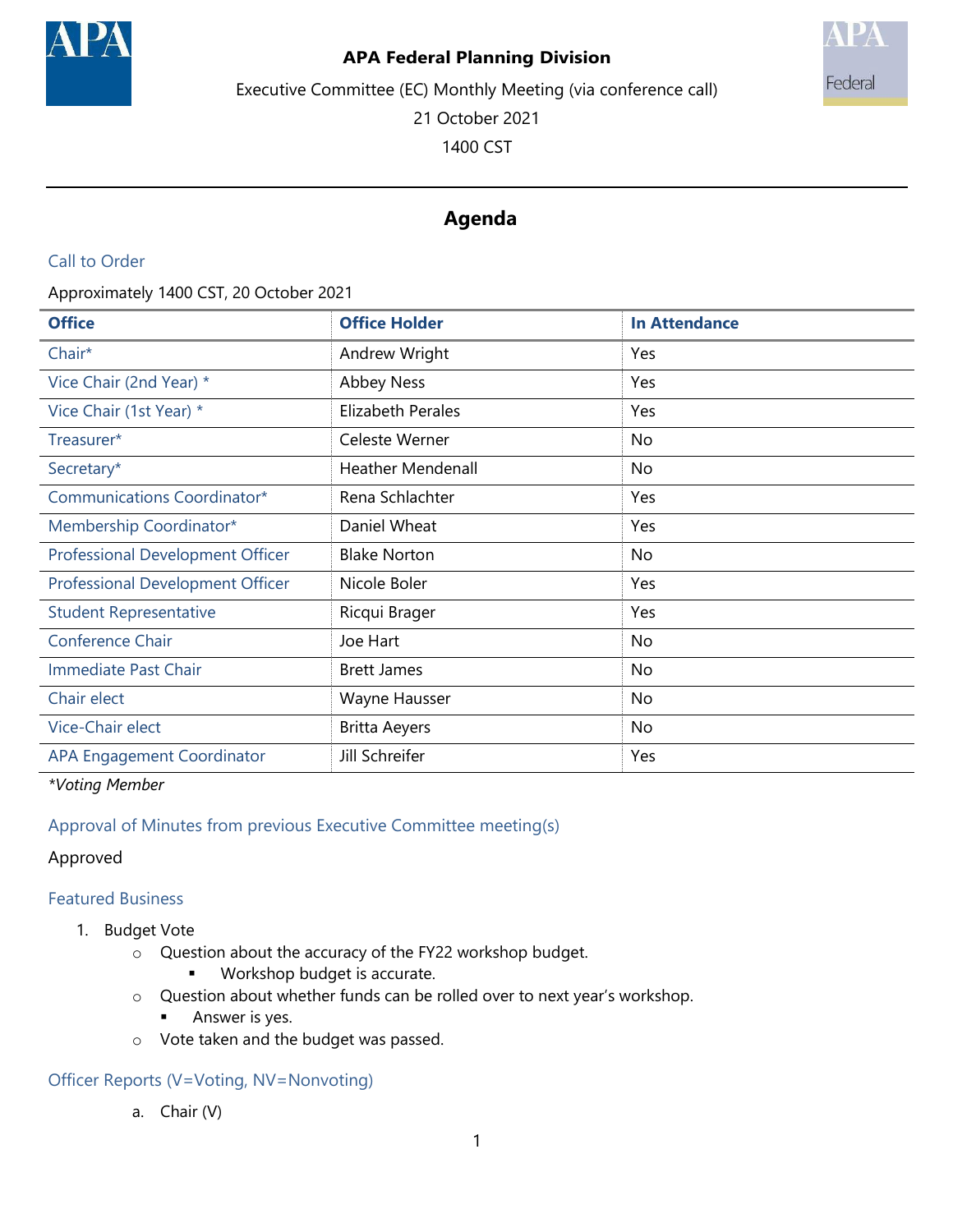

#### **APA Federal Planning Division**

Executive Committee (EC) Monthly Meeting (via conference call)



21 October 2021

1400 CST

# **Agenda**

## Call to Order

Approximately 1400 CST, 20 October 2021

| <b>Office</b>                           | <b>Office Holder</b>     | <b>In Attendance</b> |
|-----------------------------------------|--------------------------|----------------------|
| Chair*                                  | Andrew Wright            | Yes                  |
| Vice Chair (2nd Year) *                 | <b>Abbey Ness</b>        | Yes                  |
| Vice Chair (1st Year) *                 | Elizabeth Perales        | Yes                  |
| Treasurer*                              | Celeste Werner           | No                   |
| Secretary*                              | <b>Heather Mendenall</b> | No                   |
| Communications Coordinator*             | Rena Schlachter          | Yes                  |
| Membership Coordinator*                 | Daniel Wheat             | Yes                  |
| <b>Professional Development Officer</b> | <b>Blake Norton</b>      | No                   |
| <b>Professional Development Officer</b> | Nicole Boler             | Yes                  |
| <b>Student Representative</b>           | Ricqui Brager            | Yes                  |
| <b>Conference Chair</b>                 | Joe Hart                 | No                   |
| Immediate Past Chair                    | <b>Brett James</b>       | No                   |
| Chair elect                             | Wayne Hausser            | No                   |
| Vice-Chair elect                        | <b>Britta Aeyers</b>     | No                   |
| <b>APA Engagement Coordinator</b>       | Jill Schreifer           | Yes                  |

*\*Voting Member*

# Approval of Minutes from previous Executive Committee meeting(s)

## Approved

# Featured Business

- 1. Budget Vote
	- o Question about the accuracy of the FY22 workshop budget.
		- **Workshop budget is accurate.**
	- o Question about whether funds can be rolled over to next year's workshop.
		- **Answer is yes.**
	- o Vote taken and the budget was passed.

# Officer Reports (V=Voting, NV=Nonvoting)

a. Chair (V)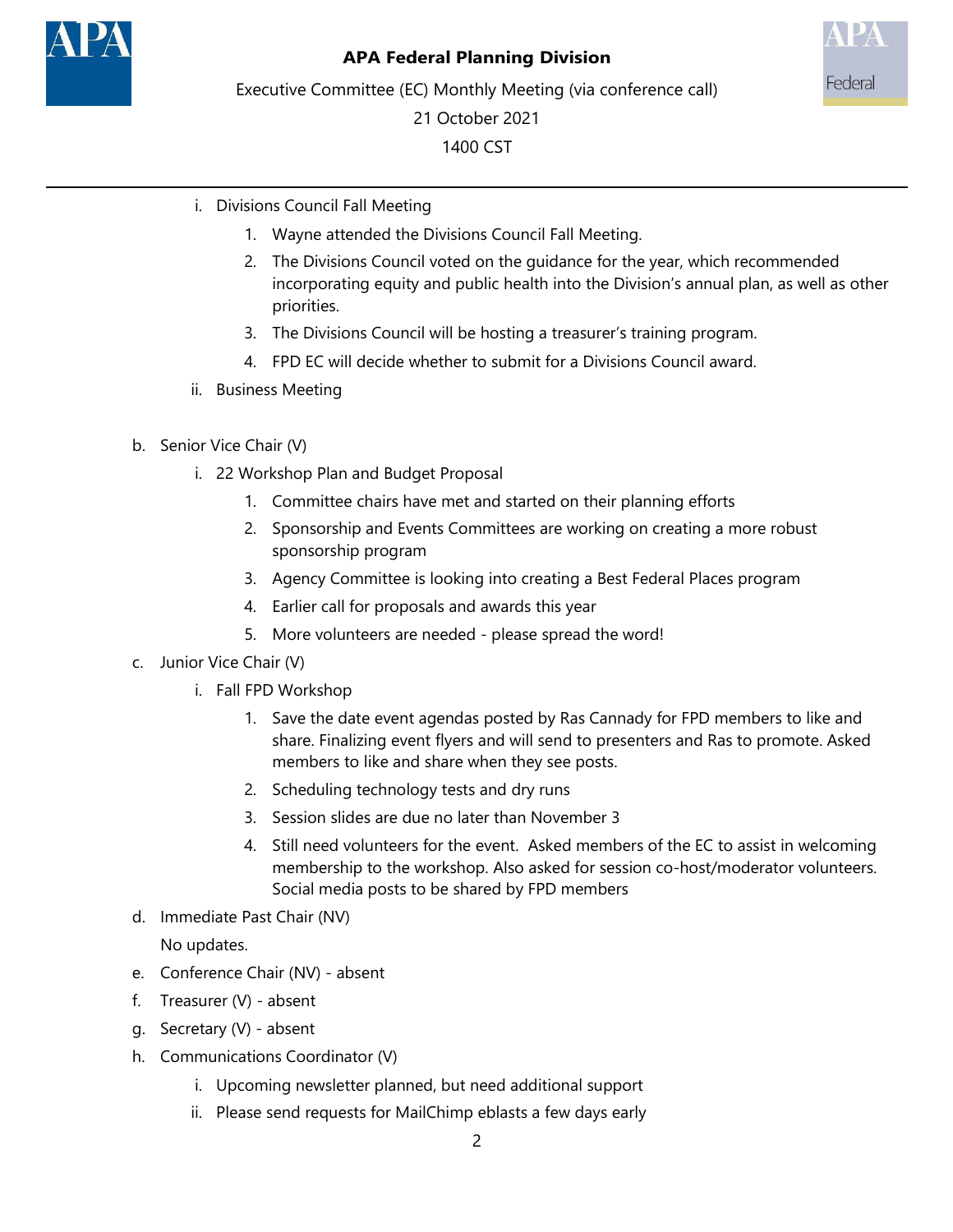



Executive Committee (EC) Monthly Meeting (via conference call)

21 October 2021 1400 CST

- i. Divisions Council Fall Meeting
	- 1. Wayne attended the Divisions Council Fall Meeting.
	- 2. The Divisions Council voted on the guidance for the year, which recommended incorporating equity and public health into the Division's annual plan, as well as other priorities.
	- 3. The Divisions Council will be hosting a treasurer's training program.
	- 4. FPD EC will decide whether to submit for a Divisions Council award.
- ii. Business Meeting
- b. Senior Vice Chair (V)
	- i. 22 Workshop Plan and Budget Proposal
		- 1. Committee chairs have met and started on their planning efforts
		- 2. Sponsorship and Events Committees are working on creating a more robust sponsorship program
		- 3. Agency Committee is looking into creating a Best Federal Places program
		- 4. Earlier call for proposals and awards this year
		- 5. More volunteers are needed please spread the word!
- c. Junior Vice Chair (V)
	- i. Fall FPD Workshop
		- 1. Save the date event agendas posted by Ras Cannady for FPD members to like and share. Finalizing event flyers and will send to presenters and Ras to promote. Asked members to like and share when they see posts.
		- 2. Scheduling technology tests and dry runs
		- 3. Session slides are due no later than November 3
		- 4. Still need volunteers for the event. Asked members of the EC to assist in welcoming membership to the workshop. Also asked for session co-host/moderator volunteers. Social media posts to be shared by FPD members
- d. Immediate Past Chair (NV)

No updates.

- e. Conference Chair (NV) absent
- f. Treasurer (V) absent
- g. Secretary (V) absent
- h. Communications Coordinator (V)
	- i. Upcoming newsletter planned, but need additional support
	- ii. Please send requests for MailChimp eblasts a few days early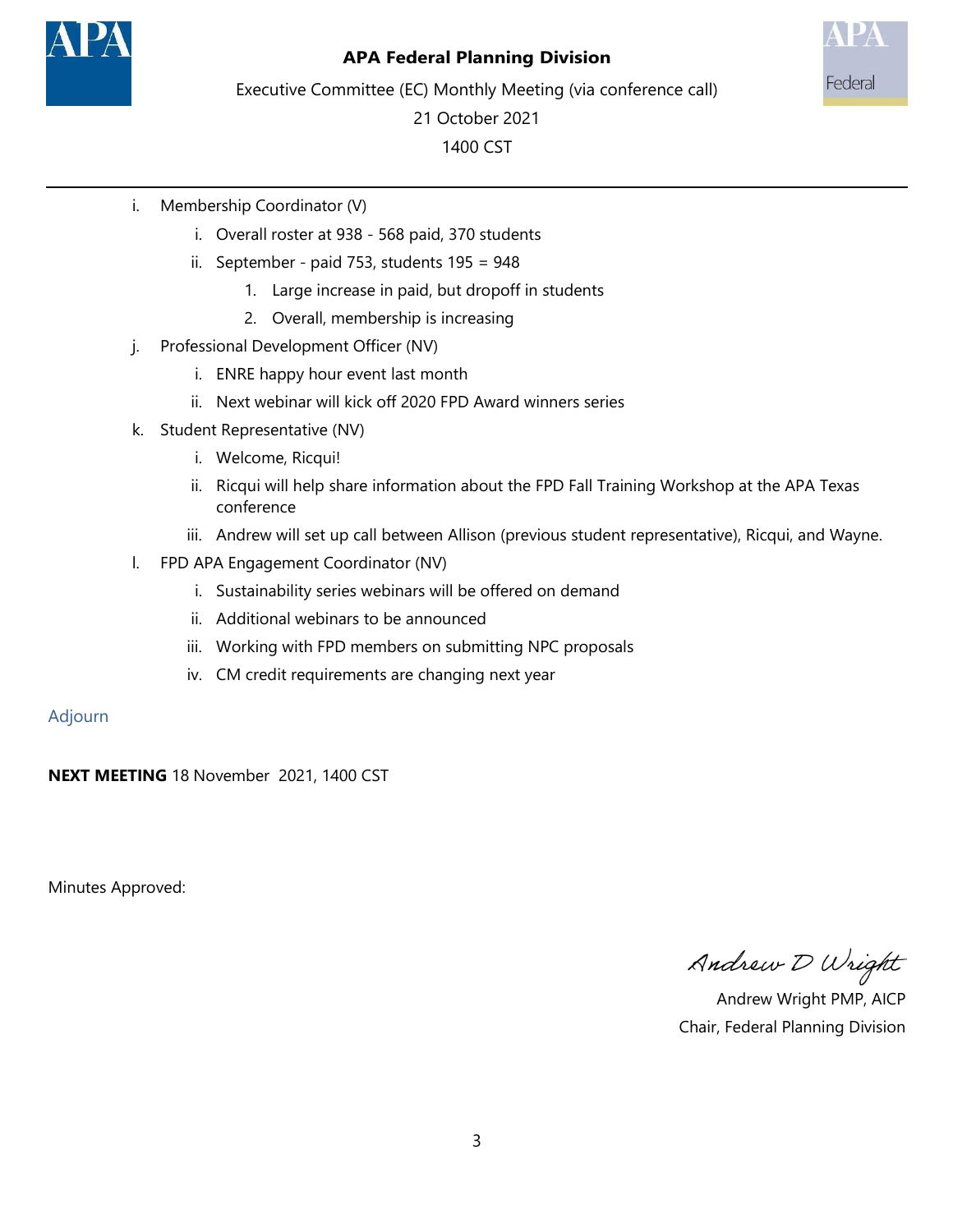

## **APA Federal Planning Division**



Executive Committee (EC) Monthly Meeting (via conference call)

21 October 2021 1400 CST

- i. Membership Coordinator (V)
	- i. Overall roster at 938 568 paid, 370 students
	- ii. September paid 753, students 195 = 948
		- 1. Large increase in paid, but dropoff in students
		- 2. Overall, membership is increasing
- j. Professional Development Officer (NV)
	- i. ENRE happy hour event last month
	- ii. Next webinar will kick off 2020 FPD Award winners series
- k. Student Representative (NV)
	- i. Welcome, Ricqui!
	- ii. Ricqui will help share information about the FPD Fall Training Workshop at the APA Texas conference
	- iii. Andrew will set up call between Allison (previous student representative), Ricqui, and Wayne.
- l. FPD APA Engagement Coordinator (NV)
	- i. Sustainability series webinars will be offered on demand
	- ii. Additional webinars to be announced
	- iii. Working with FPD members on submitting NPC proposals
	- iv. CM credit requirements are changing next year

#### Adjourn

**NEXT MEETING** 18 November 2021, 1400 CST

Minutes Approved:

Andrew D Wright

 Andrew Wright PMP, AICP Chair, Federal Planning Division